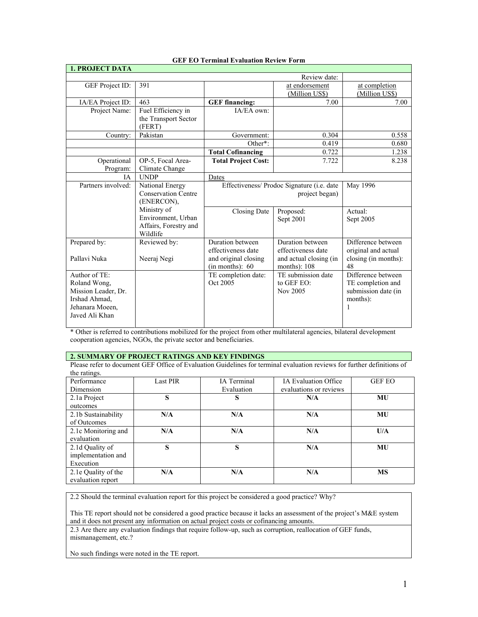| <b>1. PROJECT DATA</b>                                                                                     |                                                                        |                                                                                   |                                                                                    |                                                                                 |
|------------------------------------------------------------------------------------------------------------|------------------------------------------------------------------------|-----------------------------------------------------------------------------------|------------------------------------------------------------------------------------|---------------------------------------------------------------------------------|
|                                                                                                            |                                                                        |                                                                                   | Review date:                                                                       |                                                                                 |
| GEF Project ID:                                                                                            | 391                                                                    |                                                                                   | at endorsement<br>(Million US\$)                                                   | at completion<br>(Million US\$)                                                 |
| IA/EA Project ID:                                                                                          | 463                                                                    | <b>GEF</b> financing:                                                             | 7.00                                                                               | 7.00                                                                            |
| Project Name:                                                                                              | Fuel Efficiency in<br>the Transport Sector<br>(FERT)                   | IA/EA own:                                                                        |                                                                                    |                                                                                 |
| Country:                                                                                                   | Pakistan                                                               | Government:                                                                       | 0.304                                                                              | 0.558                                                                           |
|                                                                                                            |                                                                        | Other*:                                                                           | 0.419                                                                              | 0.680                                                                           |
|                                                                                                            |                                                                        | <b>Total Cofinancing</b>                                                          | 0.722                                                                              | 1.238                                                                           |
| Operational<br>Program:                                                                                    | OP-5, Focal Area-<br>Climate Change                                    | <b>Total Project Cost:</b>                                                        | 7.722                                                                              | 8.238                                                                           |
| <b>IA</b>                                                                                                  | <b>UNDP</b>                                                            | Dates                                                                             |                                                                                    |                                                                                 |
| Partners involved:                                                                                         | National Energy<br><b>Conservation Centre</b><br>(ENERCON),            | Effectiveness/ Prodoc Signature (i.e. date                                        | May 1996                                                                           |                                                                                 |
|                                                                                                            | Ministry of<br>Environment, Urban<br>Affairs, Forestry and<br>Wildlife | <b>Closing Date</b>                                                               | Proposed:<br>Sept 2001                                                             | Actual:<br>Sept 2005                                                            |
| Prepared by:<br>Pallavi Nuka                                                                               | Reviewed by:<br>Neeraj Negi                                            | Duration between<br>effectiveness date<br>and original closing<br>(in months): 60 | Duration between<br>effectiveness date<br>and actual closing (in<br>months): $108$ | Difference between<br>original and actual<br>closing (in months):<br>48         |
| Author of TE:<br>Roland Wong,<br>Mission Leader, Dr.<br>Irshad Ahmad.<br>Jehanara Moeen,<br>Javed Ali Khan |                                                                        | TE completion date:<br>Oct 2005                                                   | TE submission date<br>to GEF EO:<br>Nov 2005                                       | Difference between<br>TE completion and<br>submission date (in<br>months):<br>1 |

## **GEF EO Terminal Evaluation Review Form**

\* Other is referred to contributions mobilized for the project from other multilateral agencies, bilateral development cooperation agencies, NGOs, the private sector and beneficiaries.

## **2. SUMMARY OF PROJECT RATINGS AND KEY FINDINGS**

Please refer to document GEF Office of Evaluation Guidelines for terminal evaluation reviews for further definitions of the ratings.

| Performance         | Last PIR | IA Terminal | <b>IA Evaluation Office</b> | <b>GEF EO</b> |
|---------------------|----------|-------------|-----------------------------|---------------|
| Dimension           |          | Evaluation  | evaluations or reviews      |               |
| 2.1a Project        | S        | S           | N/A                         | MU            |
| outcomes            |          |             |                             |               |
| 2.1b Sustainability | N/A      | N/A         | N/A                         | MU            |
| of Outcomes         |          |             |                             |               |
| 2.1c Monitoring and | N/A      | N/A         | N/A                         | U/A           |
| evaluation          |          |             |                             |               |
| 2.1d Quality of     | S        | S           | N/A                         | MU            |
| implementation and  |          |             |                             |               |
| Execution           |          |             |                             |               |
| 2.1e Quality of the | N/A      | N/A         | N/A                         | <b>MS</b>     |
| evaluation report   |          |             |                             |               |

2.2 Should the terminal evaluation report for this project be considered a good practice? Why?

This TE report should not be considered a good practice because it lacks an assessment of the project's M&E system and it does not present any information on actual project costs or cofinancing amounts.

2.3 Are there any evaluation findings that require follow-up, such as corruption, reallocation of GEF funds, mismanagement, etc.?

No such findings were noted in the TE report.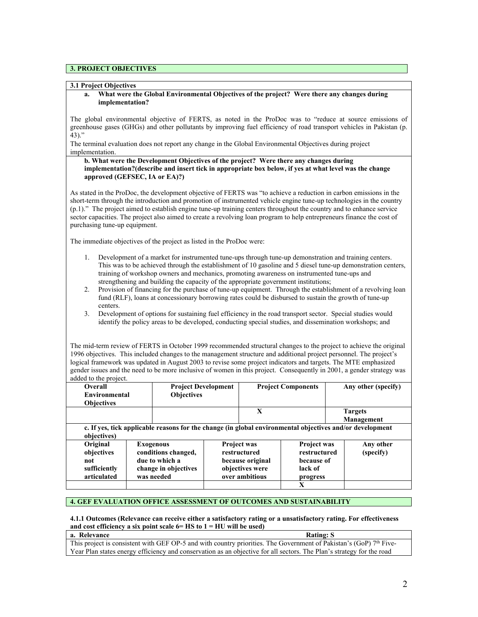## **3. PROJECT OBJECTIVES**

### **3.1 Project Objectives**

### **a. What were the Global Environmental Objectives of the project? Were there any changes during implementation?**

The global environmental objective of FERTS, as noted in the ProDoc was to "reduce at source emissions of greenhouse gases (GHGs) and other pollutants by improving fuel efficiency of road transport vehicles in Pakistan (p.  $43$ )."

The terminal evaluation does not report any change in the Global Environmental Objectives during project implementation.

### **b. What were the Development Objectives of the project? Were there any changes during implementation?(describe and insert tick in appropriate box below, if yes at what level was the change approved (GEFSEC, IA or EA)?)**

As stated in the ProDoc, the development objective of FERTS was "to achieve a reduction in carbon emissions in the short-term through the introduction and promotion of instrumented vehicle engine tune-up technologies in the country (p.1)." The project aimed to establish engine tune-up training centers throughout the country and to enhance service sector capacities. The project also aimed to create a revolving loan program to help entrepreneurs finance the cost of purchasing tune-up equipment.

The immediate objectives of the project as listed in the ProDoc were:

- 1. Development of a market for instrumented tune-ups through tune-up demonstration and training centers. This was to be achieved through the establishment of 10 gasoline and 5 diesel tune-up demonstration centers, training of workshop owners and mechanics, promoting awareness on instrumented tune-ups and strengthening and building the capacity of the appropriate government institutions;
- 2. Provision of financing for the purchase of tune-up equipment. Through the establishment of a revolving loan fund (RLF), loans at concessionary borrowing rates could be disbursed to sustain the growth of tune-up centers.
- 3. Development of options for sustaining fuel efficiency in the road transport sector. Special studies would identify the policy areas to be developed, conducting special studies, and dissemination workshops; and

The mid-term review of FERTS in October 1999 recommended structural changes to the project to achieve the original 1996 objectives. This included changes to the management structure and additional project personnel. The project's logical framework was updated in August 2003 to revise some project indicators and targets. The MTE emphasized gender issues and the need to be more inclusive of women in this project. Consequently in 2001, a gender strategy was added to the project.

| $\frac{1}{2}$                                                                                                           |                                    |                                                                                                 |                            |                                                                                             |                                                                         |                        |  |
|-------------------------------------------------------------------------------------------------------------------------|------------------------------------|-------------------------------------------------------------------------------------------------|----------------------------|---------------------------------------------------------------------------------------------|-------------------------------------------------------------------------|------------------------|--|
| Overall                                                                                                                 |                                    |                                                                                                 | <b>Project Development</b> | <b>Project Components</b>                                                                   |                                                                         | Any other (specify)    |  |
|                                                                                                                         | <b>Objectives</b><br>Environmental |                                                                                                 |                            |                                                                                             |                                                                         |                        |  |
| <b>Objectives</b>                                                                                                       |                                    |                                                                                                 |                            |                                                                                             |                                                                         |                        |  |
|                                                                                                                         |                                    |                                                                                                 |                            | X                                                                                           |                                                                         | <b>Targets</b>         |  |
|                                                                                                                         |                                    |                                                                                                 |                            |                                                                                             |                                                                         | Management             |  |
| c. If yes, tick applicable reasons for the change (in global environmental objectives and/or development<br>objectives) |                                    |                                                                                                 |                            |                                                                                             |                                                                         |                        |  |
| Original<br>objectives<br>not<br>sufficiently<br>articulated                                                            |                                    | <b>Exogenous</b><br>conditions changed,<br>due to which a<br>change in objectives<br>was needed |                            | <b>Project was</b><br>restructured<br>because original<br>objectives were<br>over ambitious | <b>Project was</b><br>restructured<br>because of<br>lack of<br>progress | Any other<br>(specify) |  |
|                                                                                                                         |                                    |                                                                                                 |                            |                                                                                             | X                                                                       |                        |  |

## **4. GEF EVALUATION OFFICE ASSESSMENT OF OUTCOMES AND SUSTAINABILITY**

## **4.1.1 Outcomes (Relevance can receive either a satisfactory rating or a unsatisfactory rating. For effectiveness and cost efficiency a six point scale 6= HS to 1 = HU will be used)**

**a.** Relevance Rating: S This project is consistent with GEF OP-5 and with country priorities. The Government of Pakistan's (GoP)  $7<sup>th</sup>$  Five-Year Plan states energy efficiency and conservation as an objective for all sectors. The Plan's strategy for the road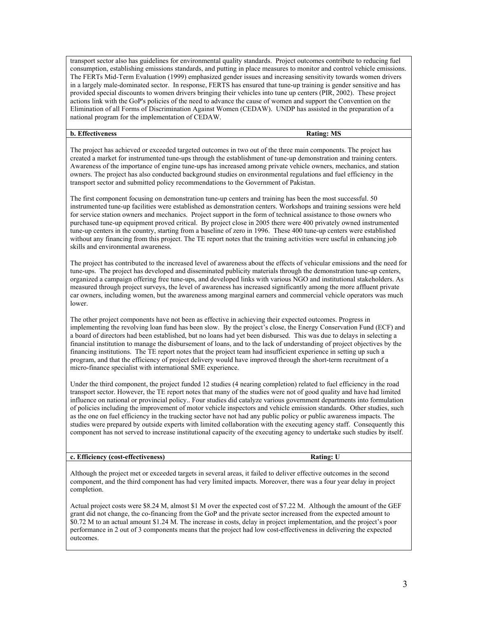transport sector also has guidelines for environmental quality standards. Project outcomes contribute to reducing fuel consumption, establishing emissions standards, and putting in place measures to monitor and control vehicle emissions. The FERTs Mid-Term Evaluation (1999) emphasized gender issues and increasing sensitivity towards women drivers in a largely male-dominated sector. In response, FERTS has ensured that tune-up training is gender sensitive and has provided special discounts to women drivers bringing their vehicles into tune up centers (PIR, 2002). These project actions link with the GoP's policies of the need to advance the cause of women and support the Convention on the Elimination of all Forms of Discrimination Against Women (CEDAW). UNDP has assisted in the preparation of a national program for the implementation of CEDAW.

**b.** Effectiveness Rating: MS

The project has achieved or exceeded targeted outcomes in two out of the three main components. The project has created a market for instrumented tune-ups through the establishment of tune-up demonstration and training centers. Awareness of the importance of engine tune-ups has increased among private vehicle owners, mechanics, and station owners. The project has also conducted background studies on environmental regulations and fuel efficiency in the transport sector and submitted policy recommendations to the Government of Pakistan.

The first component focusing on demonstration tune-up centers and training has been the most successful. 50 instrumented tune-up facilities were established as demonstration centers. Workshops and training sessions were held for service station owners and mechanics. Project support in the form of technical assistance to those owners who purchased tune-up equipment proved critical. By project close in 2005 there were 400 privately owned instrumented tune-up centers in the country, starting from a baseline of zero in 1996. These 400 tune-up centers were established without any financing from this project. The TE report notes that the training activities were useful in enhancing job skills and environmental awareness.

The project has contributed to the increased level of awareness about the effects of vehicular emissions and the need for tune-ups. The project has developed and disseminated publicity materials through the demonstration tune-up centers, organized a campaign offering free tune-ups, and developed links with various NGO and institutional stakeholders. As measured through project surveys, the level of awareness has increased significantly among the more affluent private car owners, including women, but the awareness among marginal earners and commercial vehicle operators was much lower.

The other project components have not been as effective in achieving their expected outcomes. Progress in implementing the revolving loan fund has been slow. By the project's close, the Energy Conservation Fund (ECF) and a board of directors had been established, but no loans had yet been disbursed. This was due to delays in selecting a financial institution to manage the disbursement of loans, and to the lack of understanding of project objectives by the financing institutions. The TE report notes that the project team had insufficient experience in setting up such a program, and that the efficiency of project delivery would have improved through the short-term recruitment of a micro-finance specialist with international SME experience.

Under the third component, the project funded 12 studies (4 nearing completion) related to fuel efficiency in the road transport sector. However, the TE report notes that many of the studies were not of good quality and have had limited influence on national or provincial policy.. Four studies did catalyze various government departments into formulation of policies including the improvement of motor vehicle inspectors and vehicle emission standards. Other studies, such as the one on fuel efficiency in the trucking sector have not had any public policy or public awareness impacts. The studies were prepared by outside experts with limited collaboration with the executing agency staff. Consequently this component has not served to increase institutional capacity of the executing agency to undertake such studies by itself.

## **c. Efficiency (cost-effectiveness) Rating: U**

Although the project met or exceeded targets in several areas, it failed to deliver effective outcomes in the second component, and the third component has had very limited impacts. Moreover, there was a four year delay in project completion.

Actual project costs were \$8.24 M, almost \$1 M over the expected cost of \$7.22 M. Although the amount of the GEF grant did not change, the co-financing from the GoP and the private sector increased from the expected amount to \$0.72 M to an actual amount \$1.24 M. The increase in costs, delay in project implementation, and the project's poor performance in 2 out of 3 components means that the project had low cost-effectiveness in delivering the expected outcomes.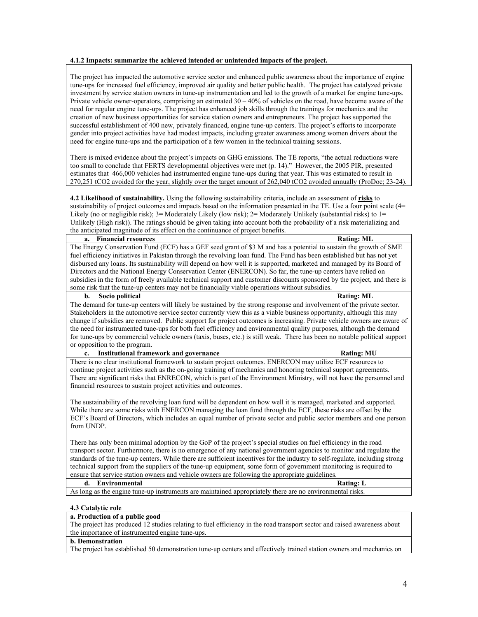### **4.1.2 Impacts: summarize the achieved intended or unintended impacts of the project.**

The project has impacted the automotive service sector and enhanced public awareness about the importance of engine tune-ups for increased fuel efficiency, improved air quality and better public health. The project has catalyzed private investment by service station owners in tune-up instrumentation and led to the growth of a market for engine tune-ups. Private vehicle owner-operators, comprising an estimated 30 – 40% of vehicles on the road, have become aware of the need for regular engine tune-ups. The project has enhanced job skills through the trainings for mechanics and the creation of new business opportunities for service station owners and entrepreneurs. The project has supported the successful establishment of 400 new, privately financed, engine tune-up centers. The project's efforts to incorporate gender into project activities have had modest impacts, including greater awareness among women drivers about the need for engine tune-ups and the participation of a few women in the technical training sessions.

There is mixed evidence about the project's impacts on GHG emissions. The TE reports, "the actual reductions were too small to conclude that FERTS developmental objectives were met (p. 14)." However, the 2005 PIR, presented estimates that 466,000 vehicles had instrumented engine tune-ups during that year. This was estimated to result in 270,251 tCO2 avoided for the year, slightly over the target amount of 262,040 tCO2 avoided annually (ProDoc; 23-24).

**4.2 Likelihood of sustainability.** Using the following sustainability criteria, include an assessment of **risks** to sustainability of project outcomes and impacts based on the information presented in the TE. Use a four point scale (4= Likely (no or negligible risk); 3= Moderately Likely (low risk); 2= Moderately Unlikely (substantial risks) to 1= Unlikely (High risk)). The ratings should be given taking into account both the probability of a risk materializing and the anticipated magnitude of its effect on the continuance of project benefits.

#### **a.** Financial resources **Rating: ML**

The Energy Conservation Fund (ECF) has a GEF seed grant of \$3 M and has a potential to sustain the growth of SME fuel efficiency initiatives in Pakistan through the revolving loan fund. The Fund has been established but has not yet disbursed any loans. Its sustainability will depend on how well it is supported, marketed and managed by its Board of Directors and the National Energy Conservation Center (ENERCON). So far, the tune-up centers have relied on subsidies in the form of freely available technical support and customer discounts sponsored by the project, and there is some risk that the tune-up centers may not be financially viable operations without subsidies.

#### **b. Socio political Rating: ML**

The demand for tune-up centers will likely be sustained by the strong response and involvement of the private sector. Stakeholders in the automotive service sector currently view this as a viable business opportunity, although this may change if subsidies are removed. Public support for project outcomes is increasing. Private vehicle owners are aware of the need for instrumented tune-ups for both fuel efficiency and environmental quality purposes, although the demand for tune-ups by commercial vehicle owners (taxis, buses, etc.) is still weak. There has been no notable political support or opposition to the program.

#### **c. Institutional framework and governance Rating: MU**

There is no clear institutional framework to sustain project outcomes. ENERCON may utilize ECF resources to continue project activities such as the on-going training of mechanics and honoring technical support agreements. There are significant risks that ENRECON, which is part of the Environment Ministry, will not have the personnel and financial resources to sustain project activities and outcomes.

The sustainability of the revolving loan fund will be dependent on how well it is managed, marketed and supported. While there are some risks with ENERCON managing the loan fund through the ECF, these risks are offset by the ECF's Board of Directors, which includes an equal number of private sector and public sector members and one person from UNDP.

There has only been minimal adoption by the GoP of the project's special studies on fuel efficiency in the road transport sector. Furthermore, there is no emergence of any national government agencies to monitor and regulate the standards of the tune-up centers. While there are sufficient incentives for the industry to self-regulate, including strong technical support from the suppliers of the tune-up equipment, some form of government monitoring is required to ensure that service station owners and vehicle owners are following the appropriate guidelines.

#### **d. Environmental Rating: L**

As long as the engine tune-up instruments are maintained appropriately there are no environmental risks.

#### **4.3 Catalytic role**

### **a. Production of a public good**

The project has produced 12 studies relating to fuel efficiency in the road transport sector and raised awareness about the importance of instrumented engine tune-ups.

### **b. Demonstration**

The project has established 50 demonstration tune-up centers and effectively trained station owners and mechanics on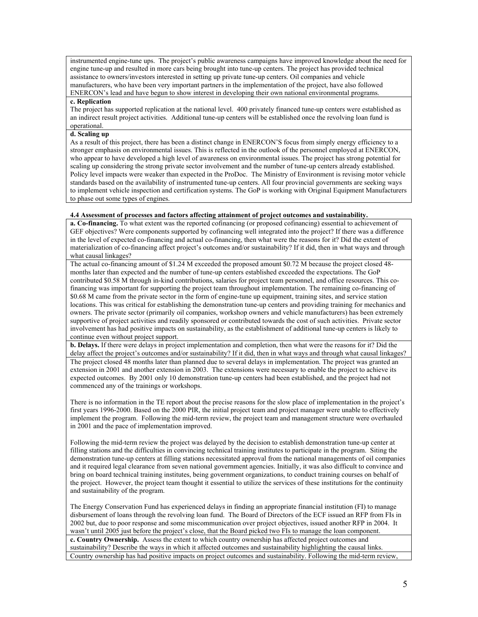instrumented engine-tune ups. The project's public awareness campaigns have improved knowledge about the need for engine tune-up and resulted in more cars being brought into tune-up centers. The project has provided technical assistance to owners/investors interested in setting up private tune-up centers. Oil companies and vehicle manufacturers, who have been very important partners in the implementation of the project, have also followed ENERCON's lead and have begun to show interest in developing their own national environmental programs.

### **c. Replication**

The project has supported replication at the national level. 400 privately financed tune-up centers were established as an indirect result project activities. Additional tune-up centers will be established once the revolving loan fund is operational.

## **d. Scaling up**

As a result of this project, there has been a distinct change in ENERCON'S focus from simply energy efficiency to a stronger emphasis on environmental issues. This is reflected in the outlook of the personnel employed at ENERCON, who appear to have developed a high level of awareness on environmental issues. The project has strong potential for scaling up considering the strong private sector involvement and the number of tune-up centers already established. Policy level impacts were weaker than expected in the ProDoc. The Ministry of Environment is revising motor vehicle standards based on the availability of instrumented tune-up centers. All four provincial governments are seeking ways to implement vehicle inspection and certification systems. The GoP is working with Original Equipment Manufacturers to phase out some types of engines.

## **4.4 Assessment of processes and factors affecting attainment of project outcomes and sustainability.**

**a. Co-financing.** To what extent was the reported cofinancing (or proposed cofinancing) essential to achievement of GEF objectives? Were components supported by cofinancing well integrated into the project? If there was a difference in the level of expected co-financing and actual co-financing, then what were the reasons for it? Did the extent of materialization of co-financing affect project's outcomes and/or sustainability? If it did, then in what ways and through what causal linkages?

The actual co-financing amount of \$1.24 M exceeded the proposed amount \$0.72 M because the project closed 48 months later than expected and the number of tune-up centers established exceeded the expectations. The GoP contributed \$0.58 M through in-kind contributions, salaries for project team personnel, and office resources. This cofinancing was important for supporting the project team throughout implementation. The remaining co-financing of \$0.68 M came from the private sector in the form of engine-tune up equipment, training sites, and service station locations. This was critical for establishing the demonstration tune-up centers and providing training for mechanics and owners. The private sector (primarily oil companies, workshop owners and vehicle manufacturers) has been extremely supportive of project activities and readily sponsored or contributed towards the cost of such activities. Private sector involvement has had positive impacts on sustainability, as the establishment of additional tune-up centers is likely to continue even without project support.

**b. Delays.** If there were delays in project implementation and completion, then what were the reasons for it? Did the delay affect the project's outcomes and/or sustainability? If it did, then in what ways and through what causal linkages? The project closed 48 months later than planned due to several delays in implementation. The project was granted an extension in 2001 and another extension in 2003. The extensions were necessary to enable the project to achieve its expected outcomes. By 2001 only 10 demonstration tune-up centers had been established, and the project had not commenced any of the trainings or workshops.

There is no information in the TE report about the precise reasons for the slow place of implementation in the project's first years 1996-2000. Based on the 2000 PIR, the initial project team and project manager were unable to effectively implement the program. Following the mid-term review, the project team and management structure were overhauled in 2001 and the pace of implementation improved.

Following the mid-term review the project was delayed by the decision to establish demonstration tune-up center at filling stations and the difficulties in convincing technical training institutes to participate in the program. Siting the demonstration tune-up centers at filling stations necessitated approval from the national managements of oil companies and it required legal clearance from seven national government agencies. Initially, it was also difficult to convince and bring on board technical training institutes, being government organizations, to conduct training courses on behalf of the project. However, the project team thought it essential to utilize the services of these institutions for the continuity and sustainability of the program.

The Energy Conservation Fund has experienced delays in finding an appropriate financial institution (FI) to manage disbursement of loans through the revolving loan fund. The Board of Directors of the ECF issued an RFP from FIs in 2002 but, due to poor response and some miscommunication over project objectives, issued another RFP in 2004. It wasn't until 2005 just before the project's close, that the Board picked two FIs to manage the loan component. **c. Country Ownership.** Assess the extent to which country ownership has affected project outcomes and

sustainability? Describe the ways in which it affected outcomes and sustainability highlighting the causal links. Country ownership has had positive impacts on project outcomes and sustainability. Following the mid-term review,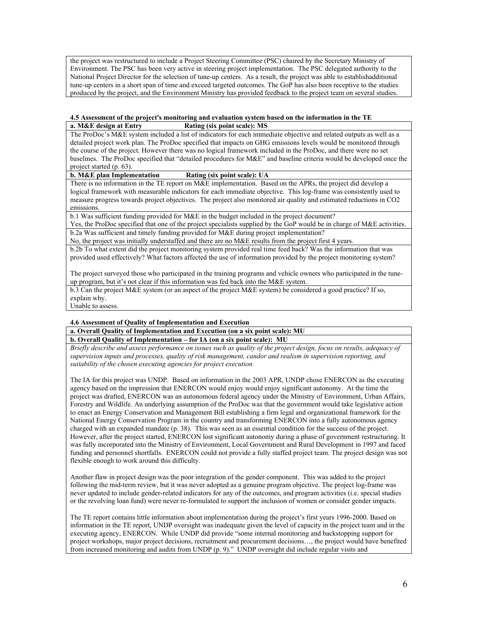the project was restructured to include a Project Steering Committee (PSC) chaired by the Secretary Ministry of Environment. The PSC has been very active in steering project implementation. The PSC delegated authority to the National Project Director for the selection of tune-up centers. As a result, the project was able to establishadditional tune-up centers in a short span of time and exceed targeted outcomes. The GoP has also been receptive to the studies produced by the project, and the Environment Ministry has provided feedback to the project team on several studies.

# **4.5 Assessment of the project's monitoring and evaluation system based on the information in the TE**

**a. M&E design at Entry Rating (six point scale): MS**

The ProDoc's M&E system included a list of indicators for each immediate objective and related outputs as well as a detailed project work plan. The ProDoc specified that impacts on GHG emissions levels would be monitored through the course of the project. However there was no logical framework included in the ProDoc, and there were no set baselines. The ProDoc specified that "detailed procedures for M&E" and baseline criteria would be developed once the project started (p. 63).

## **b. M&E plan Implementation Rating (six point scale): UA**

There is no information in the TE report on M&E implementation. Based on the APRs, the project did develop a logical framework with measurable indicators for each immediate objective. This log-frame was consistently used to measure progress towards project objectives. The project also monitored air quality and estimated reductions in CO2 emissions.

b.1 Was sufficient funding provided for M&E in the budget included in the project document?

Yes, the ProDoc specified that one of the project specialists supplied by the GoP would be in charge of M&E activities. b.2a Was sufficient and timely funding provided for M&E during project implementation?

No, the project was initially understaffed and there are no M&E results from the project first 4 years.

b.2b To what extent did the project monitoring system provided real time feed back? Was the information that was provided used effectively? What factors affected the use of information provided by the project monitoring system?

The project surveyed those who participated in the training programs and vehicle owners who participated in the tuneup program, but it's not clear if this information was fed back into the M&E system.

b.3 Can the project M&E system (or an aspect of the project M&E system) be considered a good practice? If so, explain why.

Unable to assess.

## **4.6 Assessment of Quality of Implementation and Execution**

**a. Overall Quality of Implementation and Execution (on a six point scale): MU**

**b. Overall Quality of Implementation – for IA (on a six point scale): MU**

*Briefly describe and assess performance on issues such as quality of the project design, focus on results, adequacy of supervision inputs and processes, quality of risk management, candor and realism in supervision reporting, and suitability of the chosen executing agencies for project execution.*

The IA for this project was UNDP. Based on information in the 2003 APR, UNDP chose ENERCON as the executing agency based on the impression that ENERCON would enjoy would enjoy significant autonomy. At the time the project was drafted, ENERCON was an autonomous federal agency under the Ministry of Environment, Urban Affairs, Forestry and Wildlife. An underlying assumption of the ProDoc was that the government would take legislative action to enact an Energy Conservation and Management Bill establishing a firm legal and organizational framework for the National Energy Conservation Program in the country and transforming ENERCON into a fully autonomous agency charged with an expanded mandate (p. 38). This was seen as an essential condition for the success of the project. However, after the project started, ENERCON lost significant autonomy during a phase of government restructuring. It was fully incorporated into the Ministry of Environment, Local Government and Rural Development in 1997 and faced funding and personnel shortfalls. ENERCON could not provide a fully staffed project team. The project design was not flexible enough to work around this difficulty.

Another flaw in project design was the poor integration of the gender component. This was added to the project following the mid-term review, but it was never adopted as a genuine program objective. The project log-frame was never updated to include gender-related indicators for any of the outcomes, and program activities (i.e. special studies or the revolving loan fund) were never re-formulated to support the inclusion of women or consider gender impacts.

The TE report contains little information about implementation during the project's first years 1996-2000. Based on information in the TE report, UNDP oversight was inadequate given the level of capacity in the project team and in the executing agency, ENERCON. While UNDP did provide "some internal monitoring and backstopping support for project workshops, major project decisions, recruitment and procurement decisions…, the project would have benefited from increased monitoring and audits from UNDP (p. 9)." UNDP oversight did include regular visits and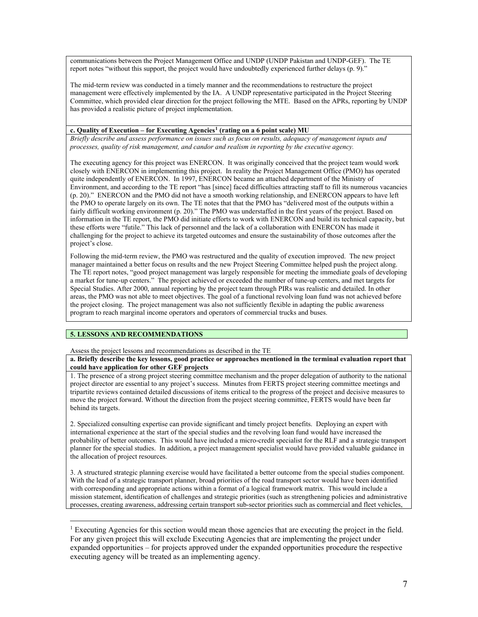communications between the Project Management Office and UNDP (UNDP Pakistan and UNDP-GEF). The TE report notes "without this support, the project would have undoubtedly experienced further delays (p. 9)."

The mid-term review was conducted in a timely manner and the recommendations to restructure the project management were effectively implemented by the IA. A UNDP representative participated in the Project Steering Committee, which provided clear direction for the project following the MTE. Based on the APRs, reporting by UNDP has provided a realistic picture of project implementation.

## **c. Quality of Execution – for Executing Agencies[1](#page-6-0) (rating on a 6 point scale) MU**

*Briefly describe and assess performance on issues such as focus on results, adequacy of management inputs and processes, quality of risk management, and candor and realism in reporting by the executive agency.* 

The executing agency for this project was ENERCON. It was originally conceived that the project team would work closely with ENERCON in implementing this project. In reality the Project Management Office (PMO) has operated quite independently of ENERCON. In 1997, ENERCON became an attached department of the Ministry of Environment, and according to the TE report "has [since] faced difficulties attracting staff to fill its numerous vacancies (p. 20)." ENERCON and the PMO did not have a smooth working relationship, and ENERCON appears to have left the PMO to operate largely on its own. The TE notes that that the PMO has "delivered most of the outputs within a fairly difficult working environment (p. 20)." The PMO was understaffed in the first years of the project. Based on information in the TE report, the PMO did initiate efforts to work with ENERCON and build its technical capacity, but these efforts were "futile." This lack of personnel and the lack of a collaboration with ENERCON has made it challenging for the project to achieve its targeted outcomes and ensure the sustainability of those outcomes after the project's close.

Following the mid-term review, the PMO was restructured and the quality of execution improved. The new project manager maintained a better focus on results and the new Project Steering Committee helped push the project along. The TE report notes, "good project management was largely responsible for meeting the immediate goals of developing a market for tune-up centers." The project achieved or exceeded the number of tune-up centers, and met targets for Special Studies. After 2000, annual reporting by the project team through PIRs was realistic and detailed. In other areas, the PMO was not able to meet objectives. The goal of a functional revolving loan fund was not achieved before the project closing. The project management was also not sufficiently flexible in adapting the public awareness program to reach marginal income operators and operators of commercial trucks and buses.

## **5. LESSONS AND RECOMMENDATIONS**

 $\overline{a}$ 

Assess the project lessons and recommendations as described in the TE

**a. Briefly describe the key lessons, good practice or approaches mentioned in the terminal evaluation report that could have application for other GEF projects**

1. The presence of a strong project steering committee mechanism and the proper delegation of authority to the national project director are essential to any project's success. Minutes from FERTS project steering committee meetings and tripartite reviews contained detailed discussions of items critical to the progress of the project and decisive measures to move the project forward. Without the direction from the project steering committee, FERTS would have been far behind its targets.

2. Specialized consulting expertise can provide significant and timely project benefits. Deploying an expert with international experience at the start of the special studies and the revolving loan fund would have increased the probability of better outcomes. This would have included a micro-credit specialist for the RLF and a strategic transport planner for the special studies. In addition, a project management specialist would have provided valuable guidance in the allocation of project resources.

3. A structured strategic planning exercise would have facilitated a better outcome from the special studies component. With the lead of a strategic transport planner, broad priorities of the road transport sector would have been identified with corresponding and appropriate actions within a format of a logical framework matrix. This would include a mission statement, identification of challenges and strategic priorities (such as strengthening policies and administrative processes, creating awareness, addressing certain transport sub-sector priorities such as commercial and fleet vehicles,

<span id="page-6-0"></span><sup>&</sup>lt;sup>1</sup> Executing Agencies for this section would mean those agencies that are executing the project in the field. For any given project this will exclude Executing Agencies that are implementing the project under expanded opportunities – for projects approved under the expanded opportunities procedure the respective executing agency will be treated as an implementing agency.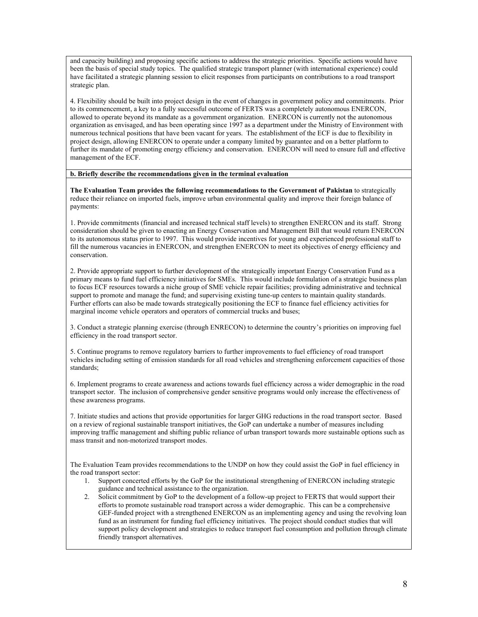and capacity building) and proposing specific actions to address the strategic priorities. Specific actions would have been the basis of special study topics. The qualified strategic transport planner (with international experience) could have facilitated a strategic planning session to elicit responses from participants on contributions to a road transport strategic plan.

4. Flexibility should be built into project design in the event of changes in government policy and commitments. Prior to its commencement, a key to a fully successful outcome of FERTS was a completely autonomous ENERCON, allowed to operate beyond its mandate as a government organization. ENERCON is currently not the autonomous organization as envisaged, and has been operating since 1997 as a department under the Ministry of Environment with numerous technical positions that have been vacant for years. The establishment of the ECF is due to flexibility in project design, allowing ENERCON to operate under a company limited by guarantee and on a better platform to further its mandate of promoting energy efficiency and conservation. ENERCON will need to ensure full and effective management of the ECF.

### **b. Briefly describe the recommendations given in the terminal evaluation**

**The Evaluation Team provides the following recommendations to the Government of Pakistan** to strategically reduce their reliance on imported fuels, improve urban environmental quality and improve their foreign balance of payments:

1. Provide commitments (financial and increased technical staff levels) to strengthen ENERCON and its staff. Strong consideration should be given to enacting an Energy Conservation and Management Bill that would return ENERCON to its autonomous status prior to 1997. This would provide incentives for young and experienced professional staff to fill the numerous vacancies in ENERCON, and strengthen ENERCON to meet its objectives of energy efficiency and conservation.

2. Provide appropriate support to further development of the strategically important Energy Conservation Fund as a primary means to fund fuel efficiency initiatives for SMEs. This would include formulation of a strategic business plan to focus ECF resources towards a niche group of SME vehicle repair facilities; providing administrative and technical support to promote and manage the fund; and supervising existing tune-up centers to maintain quality standards. Further efforts can also be made towards strategically positioning the ECF to finance fuel efficiency activities for marginal income vehicle operators and operators of commercial trucks and buses;

3. Conduct a strategic planning exercise (through ENRECON) to determine the country's priorities on improving fuel efficiency in the road transport sector.

5. Continue programs to remove regulatory barriers to further improvements to fuel efficiency of road transport vehicles including setting of emission standards for all road vehicles and strengthening enforcement capacities of those standards;

6. Implement programs to create awareness and actions towards fuel efficiency across a wider demographic in the road transport sector. The inclusion of comprehensive gender sensitive programs would only increase the effectiveness of these awareness programs.

7. Initiate studies and actions that provide opportunities for larger GHG reductions in the road transport sector. Based on a review of regional sustainable transport initiatives, the GoP can undertake a number of measures including improving traffic management and shifting public reliance of urban transport towards more sustainable options such as mass transit and non-motorized transport modes.

The Evaluation Team provides recommendations to the UNDP on how they could assist the GoP in fuel efficiency in the road transport sector:

- 1. Support concerted efforts by the GoP for the institutional strengthening of ENERCON including strategic guidance and technical assistance to the organization.
- 2. Solicit commitment by GoP to the development of a follow-up project to FERTS that would support their efforts to promote sustainable road transport across a wider demographic. This can be a comprehensive GEF-funded project with a strengthened ENERCON as an implementing agency and using the revolving loan fund as an instrument for funding fuel efficiency initiatives. The project should conduct studies that will support policy development and strategies to reduce transport fuel consumption and pollution through climate friendly transport alternatives.